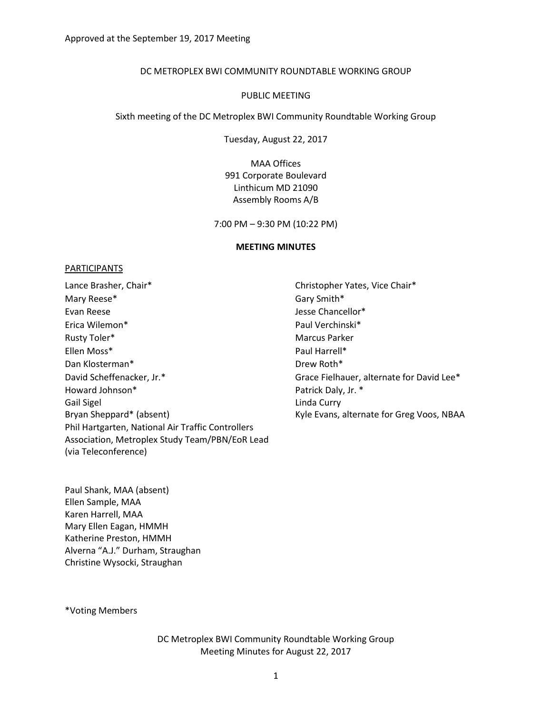#### DC METROPLEX BWI COMMUNITY ROUNDTABLE WORKING GROUP

#### PUBLIC MEETING

Sixth meeting of the DC Metroplex BWI Community Roundtable Working Group

Tuesday, August 22, 2017

MAA Offices 991 Corporate Boulevard Linthicum MD 21090 Assembly Rooms A/B

7:00 PM – 9:30 PM (10:22 PM)

#### **MEETING MINUTES**

#### PARTICIPANTS

Lance Brasher, Chair\* The Christopher Yates, Vice Chair\* Mary Reese\* Gary Smith\* Evan Reese **Access 20 Internal Contract Contract Contract Contract Contract Contract Contract Contract Contract Contract On the United States of the United States of the United States of the United States of the United Sta** Erica Wilemon\* Paul Verchinski\* Rusty Toler\* The Marcus Parker Marcus Parker Ellen Moss\* Paul Harrell\* Dan Klosterman\* Drew Roth\* David Scheffenacker, Jr.\* The Controller of Grace Fielhauer, alternate for David Lee\* Howard Johnson\* Gail Sigel Bryan Sheppard\* (absent) The Controller Controller Kyle Evans, alternate for Greg Voos, NBAA Phil Hartgarten, National Air Traffic Controllers Association, Metroplex Study Team/PBN/EoR Lead (via Teleconference)

Patrick Daly, Jr. \* Linda Curry

Paul Shank, MAA (absent) Ellen Sample, MAA Karen Harrell, MAA Mary Ellen Eagan, HMMH Katherine Preston, HMMH Alverna "A.J." Durham, Straughan Christine Wysocki, Straughan

\*Voting Members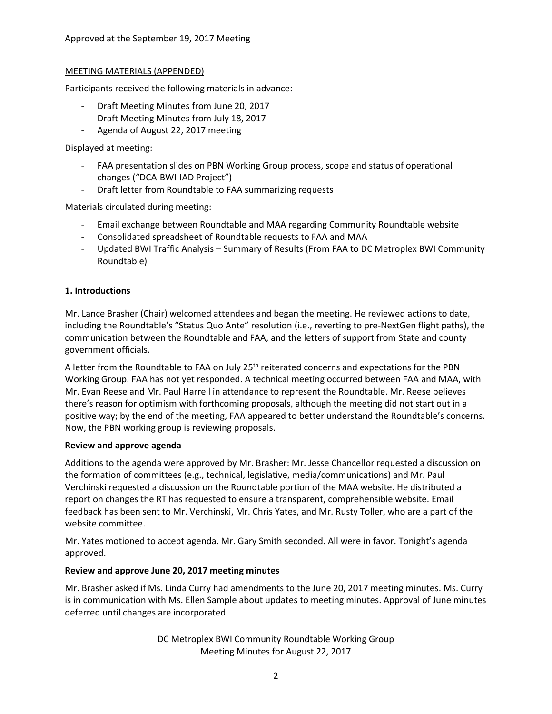### MEETING MATERIALS (APPENDED)

Participants received the following materials in advance:

- Draft Meeting Minutes from June 20, 2017
- Draft Meeting Minutes from July 18, 2017
- Agenda of August 22, 2017 meeting

Displayed at meeting:

- FAA presentation slides on PBN Working Group process, scope and status of operational changes ("DCA-BWI-IAD Project")
- Draft letter from Roundtable to FAA summarizing requests

Materials circulated during meeting:

- Email exchange between Roundtable and MAA regarding Community Roundtable website
- Consolidated spreadsheet of Roundtable requests to FAA and MAA
- Updated BWI Traffic Analysis Summary of Results (From FAA to DC Metroplex BWI Community Roundtable)

### **1. Introductions**

Mr. Lance Brasher (Chair) welcomed attendees and began the meeting. He reviewed actions to date, including the Roundtable's "Status Quo Ante" resolution (i.e., reverting to pre-NextGen flight paths), the communication between the Roundtable and FAA, and the letters of support from State and county government officials.

A letter from the Roundtable to FAA on July 25<sup>th</sup> reiterated concerns and expectations for the PBN Working Group. FAA has not yet responded. A technical meeting occurred between FAA and MAA, with Mr. Evan Reese and Mr. Paul Harrell in attendance to represent the Roundtable. Mr. Reese believes there's reason for optimism with forthcoming proposals, although the meeting did not start out in a positive way; by the end of the meeting, FAA appeared to better understand the Roundtable's concerns. Now, the PBN working group is reviewing proposals.

#### **Review and approve agenda**

Additions to the agenda were approved by Mr. Brasher: Mr. Jesse Chancellor requested a discussion on the formation of committees (e.g., technical, legislative, media/communications) and Mr. Paul Verchinski requested a discussion on the Roundtable portion of the MAA website. He distributed a report on changes the RT has requested to ensure a transparent, comprehensible website. Email feedback has been sent to Mr. Verchinski, Mr. Chris Yates, and Mr. Rusty Toller, who are a part of the website committee.

Mr. Yates motioned to accept agenda. Mr. Gary Smith seconded. All were in favor. Tonight's agenda approved.

### **Review and approve June 20, 2017 meeting minutes**

Mr. Brasher asked if Ms. Linda Curry had amendments to the June 20, 2017 meeting minutes. Ms. Curry is in communication with Ms. Ellen Sample about updates to meeting minutes. Approval of June minutes deferred until changes are incorporated.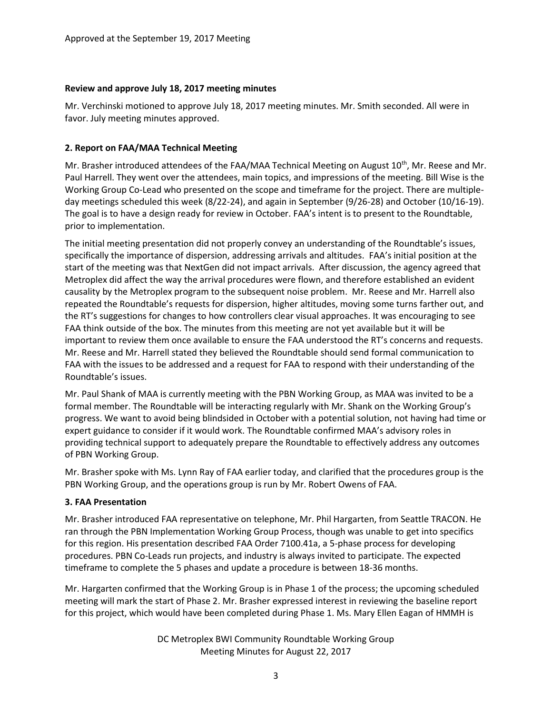### **Review and approve July 18, 2017 meeting minutes**

Mr. Verchinski motioned to approve July 18, 2017 meeting minutes. Mr. Smith seconded. All were in favor. July meeting minutes approved.

## **2. Report on FAA/MAA Technical Meeting**

Mr. Brasher introduced attendees of the FAA/MAA Technical Meeting on August 10<sup>th</sup>, Mr. Reese and Mr. Paul Harrell. They went over the attendees, main topics, and impressions of the meeting. Bill Wise is the Working Group Co-Lead who presented on the scope and timeframe for the project. There are multipleday meetings scheduled this week (8/22-24), and again in September (9/26-28) and October (10/16-19). The goal is to have a design ready for review in October. FAA's intent is to present to the Roundtable, prior to implementation.

The initial meeting presentation did not properly convey an understanding of the Roundtable's issues, specifically the importance of dispersion, addressing arrivals and altitudes. FAA's initial position at the start of the meeting was that NextGen did not impact arrivals. After discussion, the agency agreed that Metroplex did affect the way the arrival procedures were flown, and therefore established an evident causality by the Metroplex program to the subsequent noise problem. Mr. Reese and Mr. Harrell also repeated the Roundtable's requests for dispersion, higher altitudes, moving some turns farther out, and the RT's suggestions for changes to how controllers clear visual approaches. It was encouraging to see FAA think outside of the box. The minutes from this meeting are not yet available but it will be important to review them once available to ensure the FAA understood the RT's concerns and requests. Mr. Reese and Mr. Harrell stated they believed the Roundtable should send formal communication to FAA with the issues to be addressed and a request for FAA to respond with their understanding of the Roundtable's issues.

Mr. Paul Shank of MAA is currently meeting with the PBN Working Group, as MAA was invited to be a formal member. The Roundtable will be interacting regularly with Mr. Shank on the Working Group's progress. We want to avoid being blindsided in October with a potential solution, not having had time or expert guidance to consider if it would work. The Roundtable confirmed MAA's advisory roles in providing technical support to adequately prepare the Roundtable to effectively address any outcomes of PBN Working Group.

Mr. Brasher spoke with Ms. Lynn Ray of FAA earlier today, and clarified that the procedures group is the PBN Working Group, and the operations group is run by Mr. Robert Owens of FAA.

### **3. FAA Presentation**

Mr. Brasher introduced FAA representative on telephone, Mr. Phil Hargarten, from Seattle TRACON. He ran through the PBN Implementation Working Group Process, though was unable to get into specifics for this region. His presentation described FAA Order 7100.41a, a 5-phase process for developing procedures. PBN Co-Leads run projects, and industry is always invited to participate. The expected timeframe to complete the 5 phases and update a procedure is between 18-36 months.

Mr. Hargarten confirmed that the Working Group is in Phase 1 of the process; the upcoming scheduled meeting will mark the start of Phase 2. Mr. Brasher expressed interest in reviewing the baseline report for this project, which would have been completed during Phase 1. Ms. Mary Ellen Eagan of HMMH is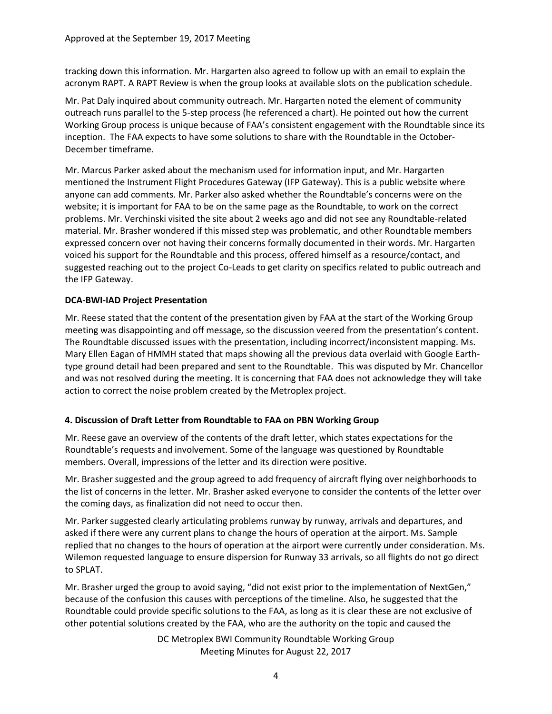tracking down this information. Mr. Hargarten also agreed to follow up with an email to explain the acronym RAPT. A RAPT Review is when the group looks at available slots on the publication schedule.

Mr. Pat Daly inquired about community outreach. Mr. Hargarten noted the element of community outreach runs parallel to the 5-step process (he referenced a chart). He pointed out how the current Working Group process is unique because of FAA's consistent engagement with the Roundtable since its inception. The FAA expects to have some solutions to share with the Roundtable in the October-December timeframe.

Mr. Marcus Parker asked about the mechanism used for information input, and Mr. Hargarten mentioned the Instrument Flight Procedures Gateway (IFP Gateway). This is a public website where anyone can add comments. Mr. Parker also asked whether the Roundtable's concerns were on the website; it is important for FAA to be on the same page as the Roundtable, to work on the correct problems. Mr. Verchinski visited the site about 2 weeks ago and did not see any Roundtable-related material. Mr. Brasher wondered if this missed step was problematic, and other Roundtable members expressed concern over not having their concerns formally documented in their words. Mr. Hargarten voiced his support for the Roundtable and this process, offered himself as a resource/contact, and suggested reaching out to the project Co-Leads to get clarity on specifics related to public outreach and the IFP Gateway.

# **DCA-BWI-IAD Project Presentation**

Mr. Reese stated that the content of the presentation given by FAA at the start of the Working Group meeting was disappointing and off message, so the discussion veered from the presentation's content. The Roundtable discussed issues with the presentation, including incorrect/inconsistent mapping. Ms. Mary Ellen Eagan of HMMH stated that maps showing all the previous data overlaid with Google Earthtype ground detail had been prepared and sent to the Roundtable. This was disputed by Mr. Chancellor and was not resolved during the meeting. It is concerning that FAA does not acknowledge they will take action to correct the noise problem created by the Metroplex project.

# **4. Discussion of Draft Letter from Roundtable to FAA on PBN Working Group**

Mr. Reese gave an overview of the contents of the draft letter, which states expectations for the Roundtable's requests and involvement. Some of the language was questioned by Roundtable members. Overall, impressions of the letter and its direction were positive.

Mr. Brasher suggested and the group agreed to add frequency of aircraft flying over neighborhoods to the list of concerns in the letter. Mr. Brasher asked everyone to consider the contents of the letter over the coming days, as finalization did not need to occur then.

Mr. Parker suggested clearly articulating problems runway by runway, arrivals and departures, and asked if there were any current plans to change the hours of operation at the airport. Ms. Sample replied that no changes to the hours of operation at the airport were currently under consideration. Ms. Wilemon requested language to ensure dispersion for Runway 33 arrivals, so all flights do not go direct to SPLAT.

Mr. Brasher urged the group to avoid saying, "did not exist prior to the implementation of NextGen," because of the confusion this causes with perceptions of the timeline. Also, he suggested that the Roundtable could provide specific solutions to the FAA, as long as it is clear these are not exclusive of other potential solutions created by the FAA, who are the authority on the topic and caused the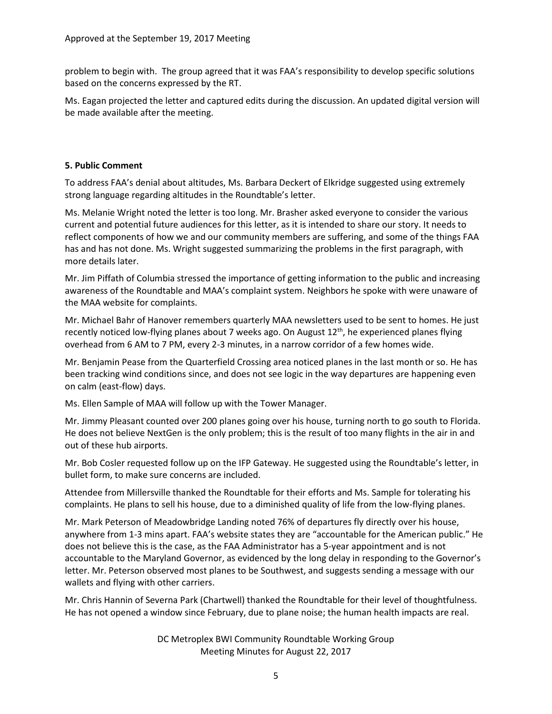problem to begin with. The group agreed that it was FAA's responsibility to develop specific solutions based on the concerns expressed by the RT.

Ms. Eagan projected the letter and captured edits during the discussion. An updated digital version will be made available after the meeting.

## **5. Public Comment**

To address FAA's denial about altitudes, Ms. Barbara Deckert of Elkridge suggested using extremely strong language regarding altitudes in the Roundtable's letter.

Ms. Melanie Wright noted the letter is too long. Mr. Brasher asked everyone to consider the various current and potential future audiences for this letter, as it is intended to share our story. It needs to reflect components of how we and our community members are suffering, and some of the things FAA has and has not done. Ms. Wright suggested summarizing the problems in the first paragraph, with more details later.

Mr. Jim Piffath of Columbia stressed the importance of getting information to the public and increasing awareness of the Roundtable and MAA's complaint system. Neighbors he spoke with were unaware of the MAA website for complaints.

Mr. Michael Bahr of Hanover remembers quarterly MAA newsletters used to be sent to homes. He just recently noticed low-flying planes about 7 weeks ago. On August 12<sup>th</sup>, he experienced planes flying overhead from 6 AM to 7 PM, every 2-3 minutes, in a narrow corridor of a few homes wide.

Mr. Benjamin Pease from the Quarterfield Crossing area noticed planes in the last month or so. He has been tracking wind conditions since, and does not see logic in the way departures are happening even on calm (east-flow) days.

Ms. Ellen Sample of MAA will follow up with the Tower Manager.

Mr. Jimmy Pleasant counted over 200 planes going over his house, turning north to go south to Florida. He does not believe NextGen is the only problem; this is the result of too many flights in the air in and out of these hub airports.

Mr. Bob Cosler requested follow up on the IFP Gateway. He suggested using the Roundtable's letter, in bullet form, to make sure concerns are included.

Attendee from Millersville thanked the Roundtable for their efforts and Ms. Sample for tolerating his complaints. He plans to sell his house, due to a diminished quality of life from the low-flying planes.

Mr. Mark Peterson of Meadowbridge Landing noted 76% of departures fly directly over his house, anywhere from 1-3 mins apart. FAA's website states they are "accountable for the American public." He does not believe this is the case, as the FAA Administrator has a 5-year appointment and is not accountable to the Maryland Governor, as evidenced by the long delay in responding to the Governor's letter. Mr. Peterson observed most planes to be Southwest, and suggests sending a message with our wallets and flying with other carriers.

Mr. Chris Hannin of Severna Park (Chartwell) thanked the Roundtable for their level of thoughtfulness. He has not opened a window since February, due to plane noise; the human health impacts are real.